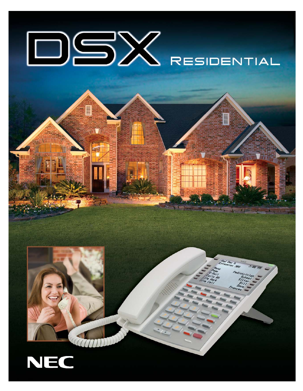

THÌ E

E

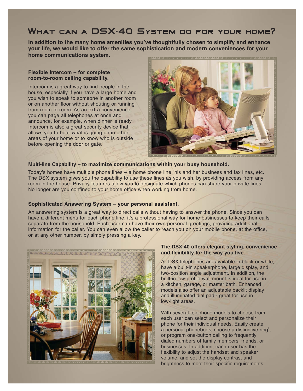## What can a DSX-40 System do for your home?

**In addition to the many home amenities you've thoughtfully chosen to simplify and enhance your life, we would like to offer the same sophistication and modern conveniences for your home communications system.**

### **Flexible Intercom – for complete room-to-room calling capability.**

Intercom is a great way to find people in the house, especially if you have a large home and you wish to speak to someone in another room or on another floor without shouting or running from room to room. As an extra convenience, you can page all telephones at once and announce, for example, when dinner is ready. Intercom is also a great security device that allows you to hear what is going on in other areas of your home or to know who is outside before opening the door or gate.



#### **Multi-line Capability – to maximize communications within your busy household.**

Today's homes have multiple phone lines – a home phone line, his and her business and fax lines, etc. The DSX system gives you the capability to use these lines as you wish, by providing access from any room in the house. Privacy features allow you to designate which phones can share your private lines. No longer are you confined to your home office when working from home.

### **Sophisticated Answering System – your personal assistant.**

An answering system is a great way to direct calls without having to answer the phone. Since you can have a different menu for each phone line, it's a professional way for home businesses to keep their calls separate from the household. Each user can have their own personal greetings, providing additional information for the caller. You can even allow the caller to reach you on your mobile phone, at the office, or at any other number, by simply pressing a key.



### **The DSX-40 offers elegant styling, convenience and flexibility for the way you live.**

All DSX telephones are available in black or white, have a built-in speakerphone, large display, and two-position angle adjustment. In addition, the built-in low-profile wall mount is ideal for use in a kitchen, garage, or master bath. Enhanced models also offer an adjustable backlit display and illuminated dial pad - great for use in low-light areas.

With several telephone models to choose from, each user can select and personalize their phone for their individual needs. Easily create a personal phonebook, choose a distinctive ring<sup>2</sup>, or program one-button calling to frequently dialed numbers of family members, friends, or businesses. In addition, each user has the flexibility to adjust the handset and speaker volume, and set the display contrast and brightness to meet their specific requirements.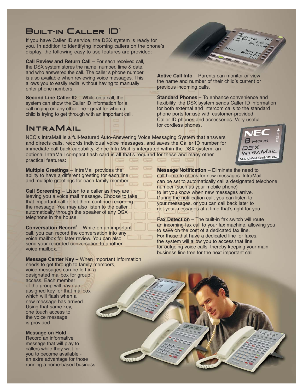## BUILT-IN  $\mathsf{CALLER}$   $\mathsf{ID}^1$

If you have Caller ID service, the DSX system is ready for you. In addition to identifying incoming callers on the phone's display, the following easy to use features are provided:

**Call Review and Return Call** – For each received call, the DSX system stores the name, number, time & date, and who answered the call. The caller's phone number is also available when reviewing voice messages. This allows you to easily redial without having to manually enter phone numbers.

**Second Line Caller ID** – While on a call, the system can show the Caller ID information for a call ringing on any other line - great for when a child is trying to get through with an important call.

# IntraMail

**Active Call Info** – Parents can monitor or view the name and number of their child's current or previous incoming calls.

**Standard Phones** – To enhance convenience and flexibility, the DSX system sends Caller ID information for both external and intercom calls to the standard phone ports for use with customer-provided Caller ID phones and accessories. Very useful for cordless phones.

> osx INTRAMAIL NEC Unified Solutions, Inc.

NEC's IntraMail is a full-featured Auto-Answering Voice Messaging System that answers and directs calls, records individual voice messages, and saves the Caller ID number for immediate call back capability. Since IntraMail is integrated within the DSX system, an optional IntraMail compact flash card is all that's required for these and many other practical features:

**Multiple Greetings** – IntraMail provides the ability to have a different greeting for each line and multiple greetings for each family member.

**Call Screening** – Listen to a caller as they are leaving you a voice mail message. Choose to take that important call or let them continue recording the message. You may also listen to the caller automatically through the speaker of any DSX telephone in the house.

**Conversation Record<sup>3</sup>** – While on an important call, you can record the conversation into any voice mailbox for later review. You can also send your recorded conversation to another voice mailbox.

**Message Notification – Eliminate the need to** call home to check for new messages. IntraMail can be set to automatically call a designated telephone number (such as your mobile phone) to let you know when new messages arrive. During the notification call, you can listen to your messages, or you can call back later to get your messages at a time that's right for you.

**Fax Detection** – The built-in fax switch will route an incoming fax call to your fax machine, allowing you to save on the cost of a dedicated fax line. For those that have a dedicated line for faxes, the system will allow you to access that line for outgoing voice calls, thereby keeping your main business line free for the next important call.

**Message Center Key** – When important information needs to get through to family members,

voice messages can be left in a designated mailbox for group access. Each member of the group will have an assigned key for that mailbox which will flash when a new message has arrived. Using that same key, one touch access to the voice message is provided.

**Message on Hold** – Record an informative message that will play to callers while they wait for you to become available an extra advantage for those running a home-based business.